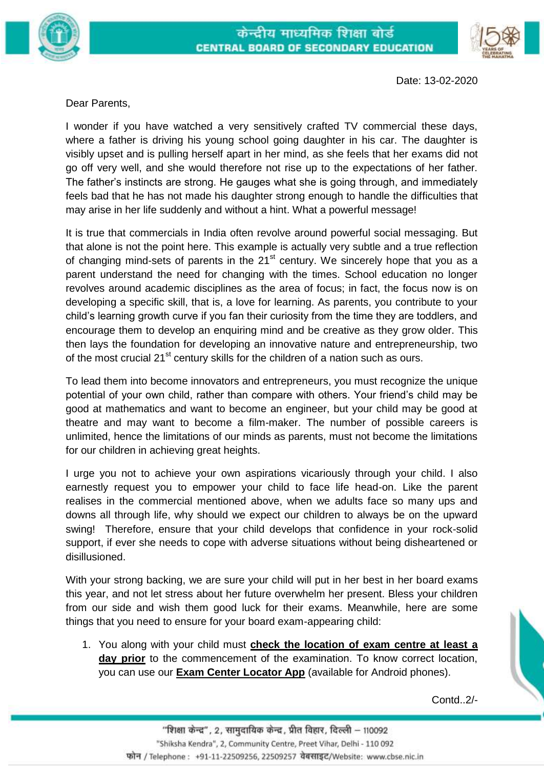



Date: 13-02-2020

Dear Parents,

I wonder if you have watched a very sensitively crafted TV commercial these days, where a father is driving his young school going daughter in his car. The daughter is visibly upset and is pulling herself apart in her mind, as she feels that her exams did not go off very well, and she would therefore not rise up to the expectations of her father. The father's instincts are strong. He gauges what she is going through, and immediately feels bad that he has not made his daughter strong enough to handle the difficulties that may arise in her life suddenly and without a hint. What a powerful message!

It is true that commercials in India often revolve around powerful social messaging. But that alone is not the point here. This example is actually very subtle and a true reflection of changing mind-sets of parents in the  $21<sup>st</sup>$  century. We sincerely hope that you as a parent understand the need for changing with the times. School education no longer revolves around academic disciplines as the area of focus; in fact, the focus now is on developing a specific skill, that is, a love for learning. As parents, you contribute to your child's learning growth curve if you fan their curiosity from the time they are toddlers, and encourage them to develop an enquiring mind and be creative as they grow older. This then lays the foundation for developing an innovative nature and entrepreneurship, two of the most crucial 21<sup>st</sup> century skills for the children of a nation such as ours.

To lead them into become innovators and entrepreneurs, you must recognize the unique potential of your own child, rather than compare with others. Your friend's child may be good at mathematics and want to become an engineer, but your child may be good at theatre and may want to become a film-maker. The number of possible careers is unlimited, hence the limitations of our minds as parents, must not become the limitations for our children in achieving great heights.

I urge you not to achieve your own aspirations vicariously through your child. I also earnestly request you to empower your child to face life head-on. Like the parent realises in the commercial mentioned above, when we adults face so many ups and downs all through life, why should we expect our children to always be on the upward swing! Therefore, ensure that your child develops that confidence in your rock-solid support, if ever she needs to cope with adverse situations without being disheartened or disillusioned.

With your strong backing, we are sure your child will put in her best in her board exams this year, and not let stress about her future overwhelm her present. Bless your children from our side and wish them good luck for their exams. Meanwhile, here are some things that you need to ensure for your board exam-appearing child:

1. You along with your child must **check the location of exam centre at least a**  day prior to the commencement of the examination. To know correct location, you can use our **Exam Center Locator App** (available for Android phones).

Contd..2/-